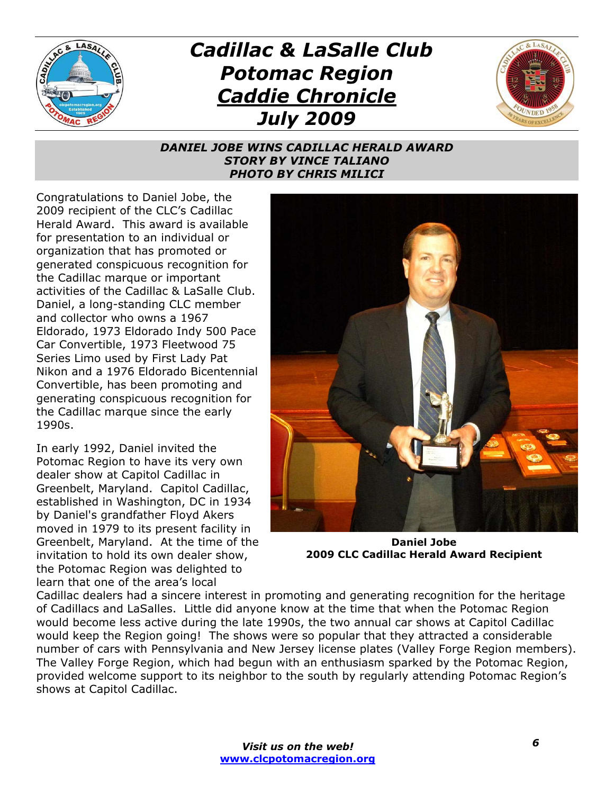

## *Cadillac & LaSalle Club Potomac Region Caddie Chronicle July 2009*



## *DANIEL JOBE WINS CADILLAC HERALD AWARD STORY BY VINCE TALIANO PHOTO BY CHRIS MILICI*

Congratulations to Daniel Jobe, the 2009 recipient of the CLC's Cadillac Herald Award. This award is available for presentation to an individual or organization that has promoted or generated conspicuous recognition for the Cadillac marque or important activities of the Cadillac & LaSalle Club. Daniel, a long-standing CLC member and collector who owns a 1967 Eldorado, 1973 Eldorado Indy 500 Pace Car Convertible, 1973 Fleetwood 75 Series Limo used by First Lady Pat Nikon and a 1976 Eldorado Bicentennial Convertible, has been promoting and generating conspicuous recognition for the Cadillac marque since the early 1990s.

In early 1992, Daniel invited the Potomac Region to have its very own dealer show at Capitol Cadillac in Greenbelt, Maryland. Capitol Cadillac, established in Washington, DC in 1934 by Daniel's grandfather Floyd Akers moved in 1979 to its present facility in Greenbelt, Maryland. At the time of the invitation to hold its own dealer show, the Potomac Region was delighted to learn that one of the area's local



**Daniel Jobe 2009 CLC Cadillac Herald Award Recipient**

Cadillac dealers had a sincere interest in promoting and generating recognition for the heritage of Cadillacs and LaSalles. Little did anyone know at the time that when the Potomac Region would become less active during the late 1990s, the two annual car shows at Capitol Cadillac would keep the Region going! The shows were so popular that they attracted a considerable number of cars with Pennsylvania and New Jersey license plates (Valley Forge Region members). The Valley Forge Region, which had begun with an enthusiasm sparked by the Potomac Region, provided welcome support to its neighbor to the south by regularly attending Potomac Region's shows at Capitol Cadillac.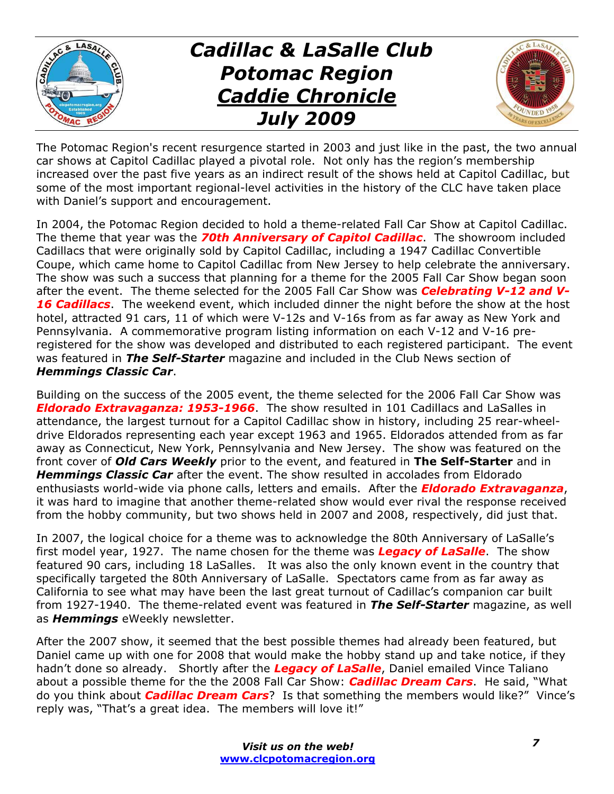

## *Cadillac & LaSalle Club Potomac Region Caddie Chronicle July 2009*



The Potomac Region's recent resurgence started in 2003 and just like in the past, the two annual car shows at Capitol Cadillac played a pivotal role. Not only has the region's membership increased over the past five years as an indirect result of the shows held at Capitol Cadillac, but some of the most important regional-level activities in the history of the CLC have taken place with Daniel's support and encouragement.

In 2004, the Potomac Region decided to hold a theme-related Fall Car Show at Capitol Cadillac. The theme that year was the *70th Anniversary of Capitol Cadillac*. The showroom included Cadillacs that were originally sold by Capitol Cadillac, including a 1947 Cadillac Convertible Coupe, which came home to Capitol Cadillac from New Jersey to help celebrate the anniversary. The show was such a success that planning for a theme for the 2005 Fall Car Show began soon after the event. The theme selected for the 2005 Fall Car Show was *Celebrating V-12 and V-16 Cadillacs*. The weekend event, which included dinner the night before the show at the host hotel, attracted 91 cars, 11 of which were V-12s and V-16s from as far away as New York and Pennsylvania. A commemorative program listing information on each V-12 and V-16 preregistered for the show was developed and distributed to each registered participant. The event was featured in *The Self-Starter* magazine and included in the Club News section of *Hemmings Classic Car*.

Building on the success of the 2005 event, the theme selected for the 2006 Fall Car Show was *Eldorado Extravaganza: 1953-1966*. The show resulted in 101 Cadillacs and LaSalles in attendance, the largest turnout for a Capitol Cadillac show in history, including 25 rear-wheeldrive Eldorados representing each year except 1963 and 1965. Eldorados attended from as far away as Connecticut, New York, Pennsylvania and New Jersey. The show was featured on the front cover of *Old Cars Weekly* prior to the event, and featured in **The Self-Starter** and in *Hemmings Classic Car* after the event. The show resulted in accolades from Eldorado enthusiasts world-wide via phone calls, letters and emails. After the *Eldorado Extravaganza*, it was hard to imagine that another theme-related show would ever rival the response received from the hobby community, but two shows held in 2007 and 2008, respectively, did just that.

In 2007, the logical choice for a theme was to acknowledge the 80th Anniversary of LaSalle's first model year, 1927. The name chosen for the theme was *Legacy of LaSalle*. The show featured 90 cars, including 18 LaSalles. It was also the only known event in the country that specifically targeted the 80th Anniversary of LaSalle. Spectators came from as far away as California to see what may have been the last great turnout of Cadillac's companion car built from 1927-1940. The theme-related event was featured in *The Self-Starter* magazine, as well as *Hemmings* eWeekly newsletter.

After the 2007 show, it seemed that the best possible themes had already been featured, but Daniel came up with one for 2008 that would make the hobby stand up and take notice, if they hadn't done so already. Shortly after the *Legacy of LaSalle*, Daniel emailed Vince Taliano about a possible theme for the the 2008 Fall Car Show: *Cadillac Dream Cars*. He said, "What do you think about *Cadillac Dream Cars*? Is that something the members would like?" Vince's reply was, "That's a great idea. The members will love it!"